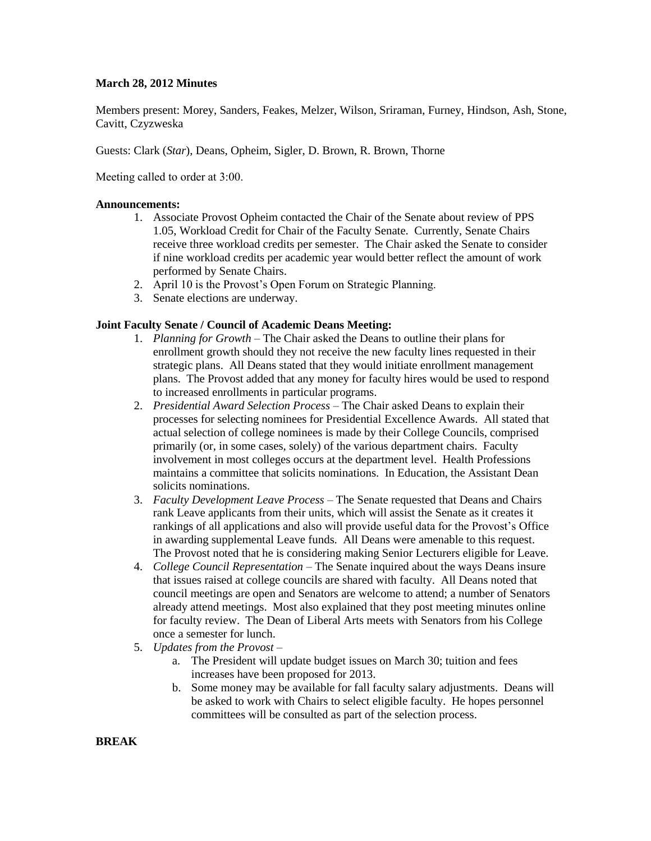## **March 28, 2012 Minutes**

Members present: Morey, Sanders, Feakes, Melzer, Wilson, Sriraman, Furney, Hindson, Ash, Stone, Cavitt, Czyzweska

Guests: Clark (*Star*), Deans, Opheim, Sigler, D. Brown, R. Brown, Thorne

Meeting called to order at 3:00.

### **Announcements:**

- 1. Associate Provost Opheim contacted the Chair of the Senate about review of PPS 1.05, Workload Credit for Chair of the Faculty Senate. Currently, Senate Chairs receive three workload credits per semester. The Chair asked the Senate to consider if nine workload credits per academic year would better reflect the amount of work performed by Senate Chairs.
- 2. April 10 is the Provost's Open Forum on Strategic Planning.
- 3. Senate elections are underway.

### **Joint Faculty Senate / Council of Academic Deans Meeting:**

- 1. *Planning for Growth –* The Chair asked the Deans to outline their plans for enrollment growth should they not receive the new faculty lines requested in their strategic plans. All Deans stated that they would initiate enrollment management plans. The Provost added that any money for faculty hires would be used to respond to increased enrollments in particular programs.
- 2. *Presidential Award Selection Process –* The Chair asked Deans to explain their processes for selecting nominees for Presidential Excellence Awards. All stated that actual selection of college nominees is made by their College Councils, comprised primarily (or, in some cases, solely) of the various department chairs. Faculty involvement in most colleges occurs at the department level. Health Professions maintains a committee that solicits nominations. In Education, the Assistant Dean solicits nominations.
- 3. *Faculty Development Leave Process –* The Senate requested that Deans and Chairs rank Leave applicants from their units, which will assist the Senate as it creates it rankings of all applications and also will provide useful data for the Provost's Office in awarding supplemental Leave funds. All Deans were amenable to this request. The Provost noted that he is considering making Senior Lecturers eligible for Leave.
- 4. *College Council Representation –* The Senate inquired about the ways Deans insure that issues raised at college councils are shared with faculty. All Deans noted that council meetings are open and Senators are welcome to attend; a number of Senators already attend meetings. Most also explained that they post meeting minutes online for faculty review. The Dean of Liberal Arts meets with Senators from his College once a semester for lunch.
- 5. *Updates from the Provost –*
	- a. The President will update budget issues on March 30; tuition and fees increases have been proposed for 2013.
	- b. Some money may be available for fall faculty salary adjustments. Deans will be asked to work with Chairs to select eligible faculty. He hopes personnel committees will be consulted as part of the selection process.

### **BREAK**